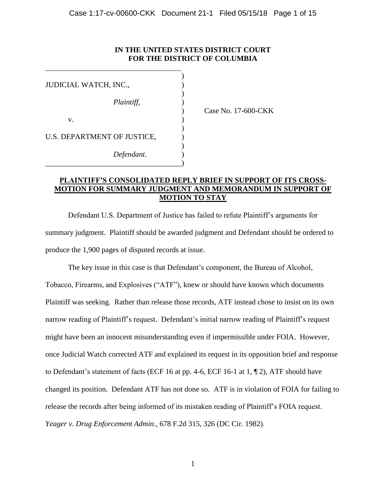# **IN THE UNITED STATES DISTRICT COURT FOR THE DISTRICT OF COLUMBIA**

| JUDICIAL WATCH, INC.,       |  |
|-----------------------------|--|
|                             |  |
| Plaintiff,                  |  |
|                             |  |
| V.                          |  |
| U.S. DEPARTMENT OF JUSTICE, |  |
| Defendant.                  |  |
|                             |  |

) Case No. 17-600-CKK

### **PLAINTIFF'S CONSOLIDATED REPLY BRIEF IN SUPPORT OF ITS CROSS-MOTION FOR SUMMARY JUDGMENT AND MEMORANDUM IN SUPPORT OF MOTION TO STAY**

Defendant U.S. Department of Justice has failed to refute Plaintiff's arguments for summary judgment. Plaintiff should be awarded judgment and Defendant should be ordered to produce the 1,900 pages of disputed records at issue.

The key issue in this case is that Defendant's component, the Bureau of Alcohol, Tobacco, Firearms, and Explosives ("ATF"), knew or should have known which documents Plaintiff was seeking. Rather than release those records, ATF instead chose to insist on its own narrow reading of Plaintiff's request. Defendant's initial narrow reading of Plaintiff's request might have been an innocent misunderstanding even if impermissible under FOIA. However, once Judicial Watch corrected ATF and explained its request in its opposition brief and response to Defendant's statement of facts (ECF 16 at pp. 4-6, ECF 16-1 at 1, ¶ 2), ATF should have changed its position. Defendant ATF has not done so. ATF is in violation of FOIA for failing to release the records after being informed of its mistaken reading of Plaintiff's FOIA request. *Yeager v. Drug Enforcement Admin*., 678 F.2d 315, 326 (DC Cir. 1982).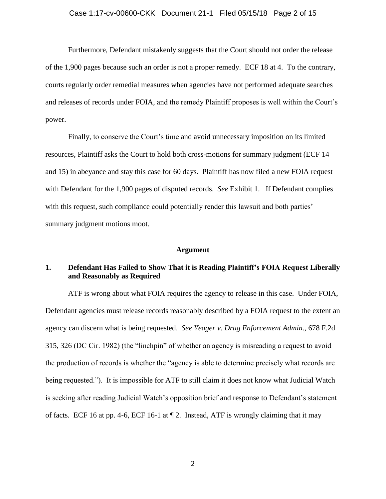### Case 1:17-cv-00600-CKK Document 21-1 Filed 05/15/18 Page 2 of 15

Furthermore, Defendant mistakenly suggests that the Court should not order the release of the 1,900 pages because such an order is not a proper remedy. ECF 18 at 4. To the contrary, courts regularly order remedial measures when agencies have not performed adequate searches and releases of records under FOIA, and the remedy Plaintiff proposes is well within the Court's power.

Finally, to conserve the Court's time and avoid unnecessary imposition on its limited resources, Plaintiff asks the Court to hold both cross-motions for summary judgment (ECF 14 and 15) in abeyance and stay this case for 60 days. Plaintiff has now filed a new FOIA request with Defendant for the 1,900 pages of disputed records. *See* Exhibit 1. If Defendant complies with this request, such compliance could potentially render this lawsuit and both parties' summary judgment motions moot.

### **Argument**

### **1. Defendant Has Failed to Show That it is Reading Plaintiff's FOIA Request Liberally and Reasonably as Required**

ATF is wrong about what FOIA requires the agency to release in this case. Under FOIA, Defendant agencies must release records reasonably described by a FOIA request to the extent an agency can discern what is being requested. *See Yeager v. Drug Enforcement Admin*., 678 F.2d 315, 326 (DC Cir. 1982) (the "linchpin" of whether an agency is misreading a request to avoid the production of records is whether the "agency is able to determine precisely what records are being requested."). It is impossible for ATF to still claim it does not know what Judicial Watch is seeking after reading Judicial Watch's opposition brief and response to Defendant's statement of facts. ECF 16 at pp. 4-6, ECF 16-1 at ¶ 2. Instead, ATF is wrongly claiming that it may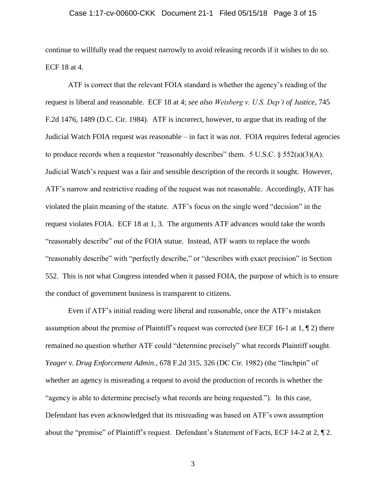### Case 1:17-cv-00600-CKK Document 21-1 Filed 05/15/18 Page 3 of 15

continue to willfully read the request narrowly to avoid releasing records if it wishes to do so. ECF 18 at 4.

ATF is correct that the relevant FOIA standard is whether the agency's reading of the request is liberal and reasonable. ECF 18 at 4; *see also Weisberg v. U.S. Dep't of Justice*, 745 F.2d 1476, 1489 (D.C. Cir. 1984). ATF is incorrect, however, to argue that its reading of the Judicial Watch FOIA request was reasonable – in fact it was not. FOIA requires federal agencies to produce records when a requestor "reasonably describes" them. 5 U.S.C.  $\S 552(a)(3)(A)$ . Judicial Watch's request was a fair and sensible description of the records it sought. However, ATF's narrow and restrictive reading of the request was not reasonable. Accordingly, ATF has violated the plain meaning of the statute. ATF's focus on the single word "decision" in the request violates FOIA. ECF 18 at 1, 3. The arguments ATF advances would take the words "reasonably describe" out of the FOIA statue. Instead, ATF wants to replace the words "reasonably describe" with "perfectly describe," or "describes with exact precision" in Section 552. This is not what Congress intended when it passed FOIA, the purpose of which is to ensure the conduct of government business is transparent to citizens.

Even if ATF's initial reading were liberal and reasonable, once the ATF's mistaken assumption about the premise of Plaintiff's request was corrected (*see* ECF 16-1 at 1, ¶ 2) there remained no question whether ATF could "determine precisely" what records Plaintiff sought. *Yeager v. Drug Enforcement Admin*., 678 F.2d 315, 326 (DC Cir. 1982) (the "linchpin" of whether an agency is misreading a request to avoid the production of records is whether the "agency is able to determine precisely what records are being requested."). In this case, Defendant has even acknowledged that its misreading was based on ATF's own assumption about the "premise" of Plaintiff's request. Defendant's Statement of Facts, ECF 14-2 at 2, ¶ 2.

3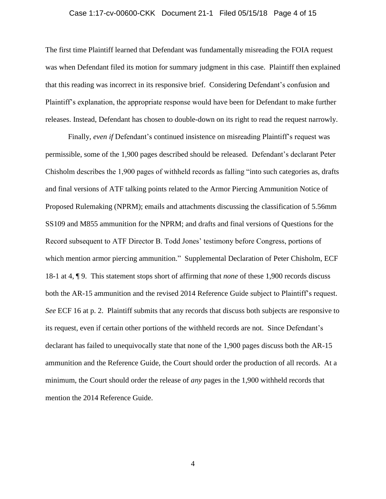### Case 1:17-cv-00600-CKK Document 21-1 Filed 05/15/18 Page 4 of 15

The first time Plaintiff learned that Defendant was fundamentally misreading the FOIA request was when Defendant filed its motion for summary judgment in this case. Plaintiff then explained that this reading was incorrect in its responsive brief. Considering Defendant's confusion and Plaintiff's explanation, the appropriate response would have been for Defendant to make further releases. Instead, Defendant has chosen to double-down on its right to read the request narrowly.

Finally, *even if* Defendant's continued insistence on misreading Plaintiff's request was permissible, some of the 1,900 pages described should be released. Defendant's declarant Peter Chisholm describes the 1,900 pages of withheld records as falling "into such categories as, drafts and final versions of ATF talking points related to the Armor Piercing Ammunition Notice of Proposed Rulemaking (NPRM); emails and attachments discussing the classification of 5.56mm SS109 and M855 ammunition for the NPRM; and drafts and final versions of Questions for the Record subsequent to ATF Director B. Todd Jones' testimony before Congress, portions of which mention armor piercing ammunition." Supplemental Declaration of Peter Chisholm, ECF 18-1 at 4, ¶ 9. This statement stops short of affirming that *none* of these 1,900 records discuss both the AR-15 ammunition and the revised 2014 Reference Guide subject to Plaintiff's request. *See* ECF 16 at p. 2. Plaintiff submits that any records that discuss both subjects are responsive to its request, even if certain other portions of the withheld records are not. Since Defendant's declarant has failed to unequivocally state that none of the 1,900 pages discuss both the AR-15 ammunition and the Reference Guide, the Court should order the production of all records. At a minimum, the Court should order the release of *any* pages in the 1,900 withheld records that mention the 2014 Reference Guide.

4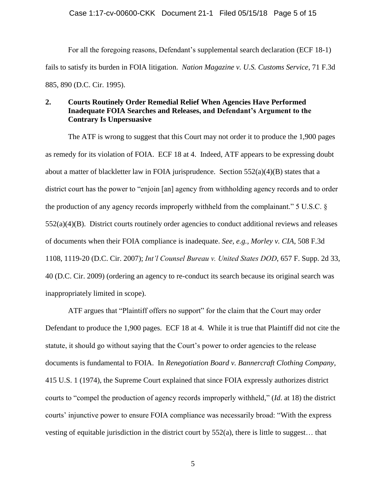For all the foregoing reasons, Defendant's supplemental search declaration (ECF 18-1) fails to satisfy its burden in FOIA litigation. *Nation Magazine v. U.S. Customs Service*, 71 F.3d 885, 890 (D.C. Cir. 1995).

# **2. Courts Routinely Order Remedial Relief When Agencies Have Performed Inadequate FOIA Searches and Releases, and Defendant's Argument to the Contrary Is Unpersuasive**

The ATF is wrong to suggest that this Court may not order it to produce the 1,900 pages as remedy for its violation of FOIA. ECF 18 at 4. Indeed, ATF appears to be expressing doubt about a matter of blackletter law in FOIA jurisprudence. Section  $552(a)(4)(B)$  states that a district court has the power to "enjoin [an] agency from withholding agency records and to order the production of any agency records improperly withheld from the complainant." 5 U.S.C. § 552(a)(4)(B). District courts routinely order agencies to conduct additional reviews and releases of documents when their FOIA compliance is inadequate. *See, e.g., Morley v. CIA*, 508 F.3d 1108, 1119-20 (D.C. Cir. 2007); *Int'l Counsel Bureau v. United States DOD*, 657 F. Supp. 2d 33, 40 (D.C. Cir. 2009) (ordering an agency to re-conduct its search because its original search was inappropriately limited in scope).

ATF argues that "Plaintiff offers no support" for the claim that the Court may order Defendant to produce the 1,900 pages. ECF 18 at 4. While it is true that Plaintiff did not cite the statute, it should go without saying that the Court's power to order agencies to the release documents is fundamental to FOIA. In *Renegotiation Board v. Bannercraft Clothing Company*, 415 U.S. 1 (1974), the Supreme Court explained that since FOIA expressly authorizes district courts to "compel the production of agency records improperly withheld," (*Id*. at 18) the district courts' injunctive power to ensure FOIA compliance was necessarily broad: "With the express vesting of equitable jurisdiction in the district court by 552(a), there is little to suggest… that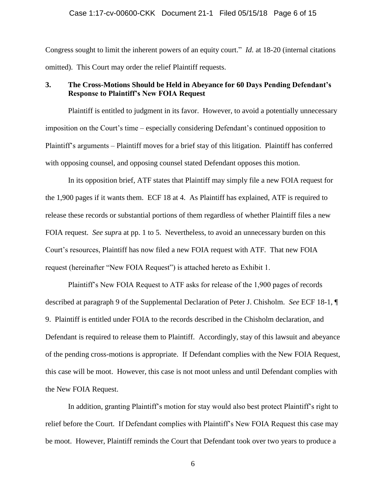### Case 1:17-cv-00600-CKK Document 21-1 Filed 05/15/18 Page 6 of 15

Congress sought to limit the inherent powers of an equity court." *Id*. at 18-20 (internal citations omitted). This Court may order the relief Plaintiff requests.

### **3. The Cross-Motions Should be Held in Abeyance for 60 Days Pending Defendant's Response to Plaintiff's New FOIA Request**

Plaintiff is entitled to judgment in its favor. However, to avoid a potentially unnecessary imposition on the Court's time – especially considering Defendant's continued opposition to Plaintiff's arguments – Plaintiff moves for a brief stay of this litigation. Plaintiff has conferred with opposing counsel, and opposing counsel stated Defendant opposes this motion.

In its opposition brief, ATF states that Plaintiff may simply file a new FOIA request for the 1,900 pages if it wants them. ECF 18 at 4. As Plaintiff has explained, ATF is required to release these records or substantial portions of them regardless of whether Plaintiff files a new FOIA request. *See supr*a at pp. 1 to 5. Nevertheless, to avoid an unnecessary burden on this Court's resources, Plaintiff has now filed a new FOIA request with ATF. That new FOIA request (hereinafter "New FOIA Request") is attached hereto as Exhibit 1.

Plaintiff's New FOIA Request to ATF asks for release of the 1,900 pages of records described at paragraph 9 of the Supplemental Declaration of Peter J. Chisholm. *See* ECF 18-1, ¶ 9. Plaintiff is entitled under FOIA to the records described in the Chisholm declaration, and Defendant is required to release them to Plaintiff. Accordingly, stay of this lawsuit and abeyance of the pending cross-motions is appropriate. If Defendant complies with the New FOIA Request, this case will be moot. However, this case is not moot unless and until Defendant complies with the New FOIA Request.

In addition, granting Plaintiff's motion for stay would also best protect Plaintiff's right to relief before the Court. If Defendant complies with Plaintiff's New FOIA Request this case may be moot. However, Plaintiff reminds the Court that Defendant took over two years to produce a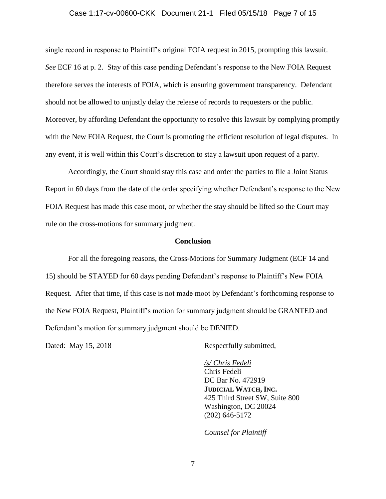#### Case 1:17-cv-00600-CKK Document 21-1 Filed 05/15/18 Page 7 of 15

single record in response to Plaintiff's original FOIA request in 2015, prompting this lawsuit. *See* ECF 16 at p. 2. Stay of this case pending Defendant's response to the New FOIA Request therefore serves the interests of FOIA, which is ensuring government transparency. Defendant should not be allowed to unjustly delay the release of records to requesters or the public. Moreover, by affording Defendant the opportunity to resolve this lawsuit by complying promptly with the New FOIA Request, the Court is promoting the efficient resolution of legal disputes. In any event, it is well within this Court's discretion to stay a lawsuit upon request of a party.

Accordingly, the Court should stay this case and order the parties to file a Joint Status Report in 60 days from the date of the order specifying whether Defendant's response to the New FOIA Request has made this case moot, or whether the stay should be lifted so the Court may rule on the cross-motions for summary judgment.

### **Conclusion**

For all the foregoing reasons, the Cross-Motions for Summary Judgment (ECF 14 and 15) should be STAYED for 60 days pending Defendant's response to Plaintiff's New FOIA Request. After that time, if this case is not made moot by Defendant's forthcoming response to the New FOIA Request, Plaintiff's motion for summary judgment should be GRANTED and Defendant's motion for summary judgment should be DENIED.

Dated: May 15, 2018 Respectfully submitted,

*/s/ Chris Fedeli*  Chris Fedeli DC Bar No. 472919 **JUDICIAL WATCH, INC.** 425 Third Street SW, Suite 800 Washington, DC 20024 (202) 646-5172

*Counsel for Plaintiff*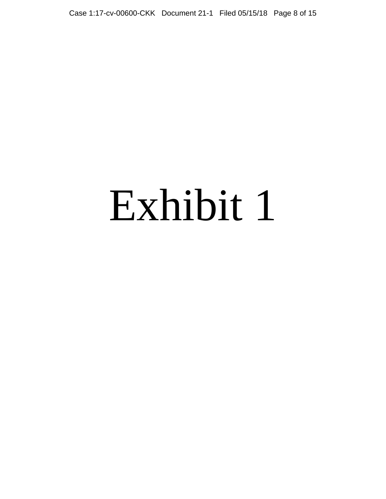# Exhibit 1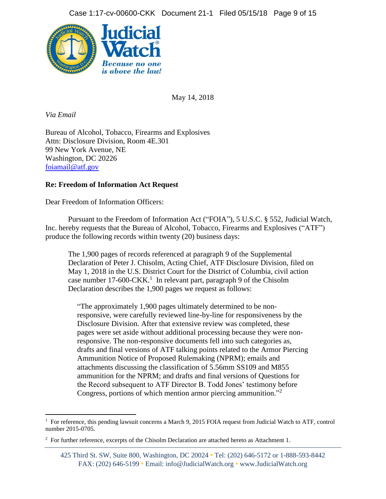

May 14, 2018

*Via Email* 

l

Bureau of Alcohol, Tobacco, Firearms and Explosives Attn: Disclosure Division, Room 4E.301 99 New York Avenue, NE Washington, DC 20226 [foiamail@atf.gov](mailto:foiamail@atf.gov)

# **Re: Freedom of Information Act Request**

Dear Freedom of Information Officers:

Pursuant to the Freedom of Information Act ("FOIA"), 5 U.S.C. § 552, Judicial Watch, Inc. hereby requests that the Bureau of Alcohol, Tobacco, Firearms and Explosives ("ATF") produce the following records within twenty (20) business days:

The 1,900 pages of records referenced at paragraph 9 of the Supplemental Declaration of Peter J. Chisolm, Acting Chief, ATF Disclosure Division, filed on May 1, 2018 in the U.S. District Court for the District of Columbia, civil action case number 17-600-CKK. 1 In relevant part, paragraph 9 of the Chisolm Declaration describes the 1,900 pages we request as follows:

"The approximately 1,900 pages ultimately determined to be nonresponsive, were carefully reviewed line-by-line for responsiveness by the Disclosure Division. After that extensive review was completed, these pages were set aside without additional processing because they were nonresponsive. The non-responsive documents fell into such categories as, drafts and final versions of ATF talking points related to the Armor Piercing Ammunition Notice of Proposed Rulemaking (NPRM); emails and attachments discussing the classification of 5.56mm SS109 and M855 ammunition for the NPRM; and drafts and final versions of Questions for the Record subsequent to ATF Director B. Todd Jones' testimony before Congress, portions of which mention armor piercing ammunition."<sup>2</sup>

<sup>&</sup>lt;sup>1</sup> For reference, this pending lawsuit concerns a March 9, 2015 FOIA request from Judicial Watch to ATF, control number 2015-0705.

 $2^2$  For further reference, excerpts of the Chisolm Declaration are attached hereto as Attachment 1.

<sup>425</sup> Third St. SW, Suite 800, Washington, DC 20024 • Tel: (202) 646-5172 or 1-888-593-8442 FAX: (202) 646-5199 • Email: info@JudicialWatch.org • www.JudicialWatch.org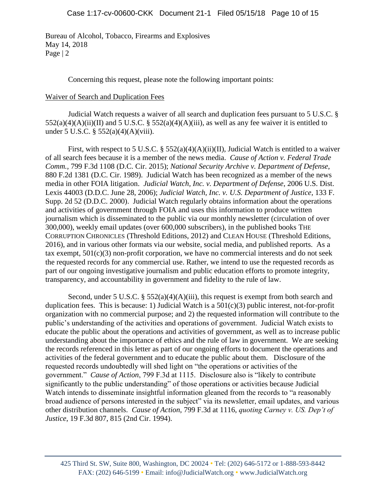Bureau of Alcohol, Tobacco, Firearms and Explosives May 14, 2018 Page | 2

Concerning this request, please note the following important points:

### Waiver of Search and Duplication Fees

Judicial Watch requests a waiver of all search and duplication fees pursuant to 5 U.S.C. §  $552(a)(4)(A)(ii)(II)$  and  $5 U.S.C. § 552(a)(4)(A)(iii)$ , as well as any fee waiver it is entitled to under 5 U.S.C. § 552(a)(4)(A)(viii).

First, with respect to 5 U.S.C. §  $552(a)(4)(A)(ii)(II)$ , Judicial Watch is entitled to a waiver of all search fees because it is a member of the news media. *Cause of Action v. Federal Trade Comm.,* 799 F.3d 1108 (D.C. Cir. 2015); *National Security Archive v. Department of Defense*, 880 F.2d 1381 (D.C. Cir. 1989). Judicial Watch has been recognized as a member of the news media in other FOIA litigation. *Judicial Watch, Inc. v. Department of Defense*, 2006 U.S. Dist. Lexis 44003 (D.D.C. June 28, 2006); *Judicial Watch, Inc. v. U.S. Department of Justice*, 133 F. Supp. 2d 52 (D.D.C. 2000). Judicial Watch regularly obtains information about the operations and activities of government through FOIA and uses this information to produce written journalism which is disseminated to the public via our monthly newsletter (circulation of over 300,000), weekly email updates (over 600,000 subscribers), in the published books THE CORRUPTION CHRONICLES (Threshold Editions, 2012) and CLEAN HOUSE (Threshold Editions, 2016), and in various other formats via our website, social media, and published reports. As a tax exempt,  $501(c)(3)$  non-profit corporation, we have no commercial interests and do not seek the requested records for any commercial use. Rather, we intend to use the requested records as part of our ongoing investigative journalism and public education efforts to promote integrity, transparency, and accountability in government and fidelity to the rule of law.

Second, under 5 U.S.C.  $\S$  552(a)(4)(A)(iii), this request is exempt from both search and duplication fees. This is because: 1) Judicial Watch is a  $501(c)(3)$  public interest, not-for-profit organization with no commercial purpose; and 2) the requested information will contribute to the public's understanding of the activities and operations of government. Judicial Watch exists to educate the public about the operations and activities of government, as well as to increase public understanding about the importance of ethics and the rule of law in government. We are seeking the records referenced in this letter as part of our ongoing efforts to document the operations and activities of the federal government and to educate the public about them. Disclosure of the requested records undoubtedly will shed light on "the operations or activities of the government." *Cause of Action*, 799 F.3d at 1115. Disclosure also is "likely to contribute significantly to the public understanding" of those operations or activities because Judicial Watch intends to disseminate insightful information gleaned from the records to "a reasonably broad audience of persons interested in the subject" via its newsletter, email updates, and various other distribution channels. *Cause of Action*, 799 F.3d at 1116, *quoting Carney v. US. Dep't of Justice*, 19 F.3d 807, 815 (2nd Cir. 1994).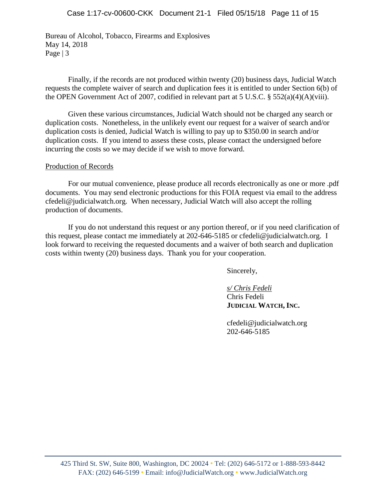Bureau of Alcohol, Tobacco, Firearms and Explosives May 14, 2018 Page | 3

Finally, if the records are not produced within twenty (20) business days, Judicial Watch requests the complete waiver of search and duplication fees it is entitled to under Section 6(b) of the OPEN Government Act of 2007, codified in relevant part at 5 U.S.C. § 552(a)(4)(A)(viii).

Given these various circumstances, Judicial Watch should not be charged any search or duplication costs. Nonetheless, in the unlikely event our request for a waiver of search and/or duplication costs is denied, Judicial Watch is willing to pay up to \$350.00 in search and/or duplication costs. If you intend to assess these costs, please contact the undersigned before incurring the costs so we may decide if we wish to move forward.

# Production of Records

For our mutual convenience, please produce all records electronically as one or more .pdf documents. You may send electronic productions for this FOIA request via email to the address cfedeli@judicialwatch.org. When necessary, Judicial Watch will also accept the rolling production of documents.

If you do not understand this request or any portion thereof, or if you need clarification of this request, please contact me immediately at 202-646-5185 or cfedeli@judicialwatch.org. I look forward to receiving the requested documents and a waiver of both search and duplication costs within twenty (20) business days. Thank you for your cooperation.

Sincerely,

*s/ Chris Fedeli*  Chris Fedeli **JUDICIAL WATCH, INC.**

cfedeli@judicialwatch.org 202-646-5185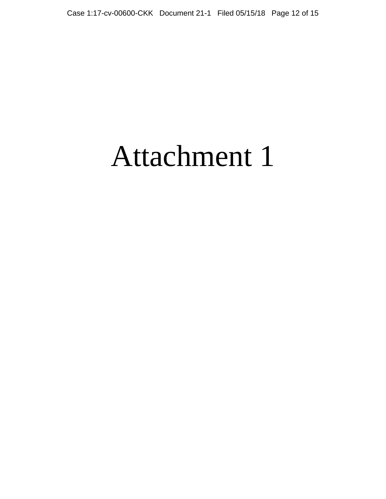# Attachment 1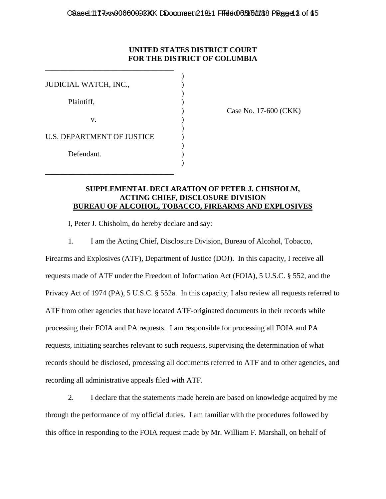# **UNITED STATES DISTRICT COURT FOR THE DISTRICT OF COLUMBIA**

| JUDICIAL WATCH, INC.,             |  |
|-----------------------------------|--|
| Plaintiff,                        |  |
| v.                                |  |
| <b>U.S. DEPARTMENT OF JUSTICE</b> |  |
| Defendant.                        |  |
|                                   |  |

\_\_\_\_\_\_\_\_\_\_\_\_\_\_\_\_\_\_\_\_\_\_\_\_\_\_\_\_\_\_\_\_\_\_

\_\_\_\_\_\_\_\_\_\_\_\_\_\_\_\_\_\_\_\_\_\_\_\_\_\_\_\_\_\_\_\_\_\_

) Case No. 17-600 (CKK)

### **SUPPLEMENTAL DECLARATION OF PETER J. CHISHOLM, ACTING CHIEF, DISCLOSURE DIVISION BUREAU OF ALCOHOL, TOBACCO, FIREARMS AND EXPLOSIVES**

I, Peter J. Chisholm, do hereby declare and say:

1. I am the Acting Chief, Disclosure Division, Bureau of Alcohol, Tobacco,

Firearms and Explosives (ATF), Department of Justice (DOJ). In this capacity, I receive all requests made of ATF under the Freedom of Information Act (FOIA), 5 U.S.C. § 552, and the Privacy Act of 1974 (PA), 5 U.S.C. § 552a. In this capacity, I also review all requests referred to ATF from other agencies that have located ATF-originated documents in their records while processing their FOIA and PA requests. I am responsible for processing all FOIA and PA requests, initiating searches relevant to such requests, supervising the determination of what records should be disclosed, processing all documents referred to ATF and to other agencies, and recording all administrative appeals filed with ATF.

2. I declare that the statements made herein are based on knowledge acquired by me through the performance of my official duties. I am familiar with the procedures followed by this office in responding to the FOIA request made by Mr. William F. Marshall, on behalf of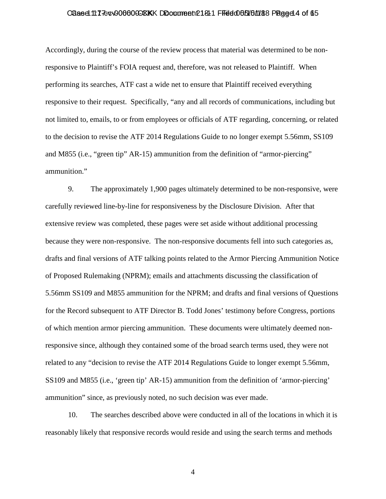### Caase 117-cv006000 CKKK Document 2181 Filed 065/16/188 Page 14 of 65

Accordingly, during the course of the review process that material was determined to be nonresponsive to Plaintiff's FOIA request and, therefore, was not released to Plaintiff. When performing its searches, ATF cast a wide net to ensure that Plaintiff received everything responsive to their request. Specifically, "any and all records of communications, including but not limited to, emails, to or from employees or officials of ATF regarding, concerning, or related to the decision to revise the ATF 2014 Regulations Guide to no longer exempt 5.56mm, SS109 and M855 (i.e., "green tip" AR-15) ammunition from the definition of "armor-piercing" ammunition."

9. The approximately 1,900 pages ultimately determined to be non-responsive, were carefully reviewed line-by-line for responsiveness by the Disclosure Division. After that extensive review was completed, these pages were set aside without additional processing because they were non-responsive. The non-responsive documents fell into such categories as, drafts and final versions of ATF talking points related to the Armor Piercing Ammunition Notice of Proposed Rulemaking (NPRM); emails and attachments discussing the classification of 5.56mm SS109 and M855 ammunition for the NPRM; and drafts and final versions of Questions for the Record subsequent to ATF Director B. Todd Jones' testimony before Congress, portions of which mention armor piercing ammunition. These documents were ultimately deemed nonresponsive since, although they contained some of the broad search terms used, they were not related to any "decision to revise the ATF 2014 Regulations Guide to longer exempt 5.56mm, SS109 and M855 (i.e., 'green tip' AR-15) ammunition from the definition of 'armor-piercing' ammunition" since, as previously noted, no such decision was ever made.

10. The searches described above were conducted in all of the locations in which it is reasonably likely that responsive records would reside and using the search terms and methods

4